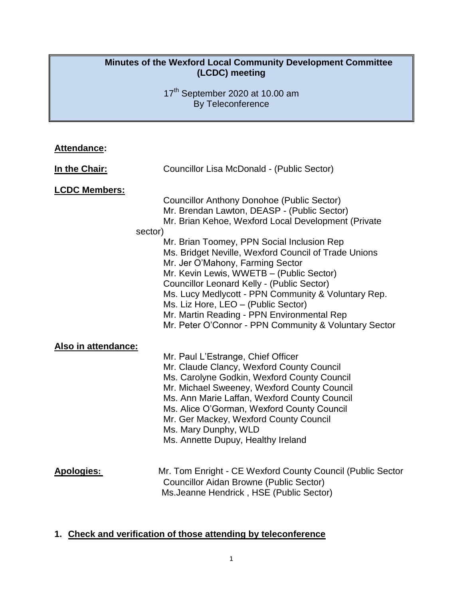# **Minutes of the Wexford Local Community Development Committee (LCDC) meeting**

17<sup>th</sup> September 2020 at 10.00 am By Teleconference

| <b>Attendance:</b>                          |                                                                                                                                                                                                                                                                                                                                                                                                                                                                                                                                                                                                                                                                                                                                                                                                                                                                                                                                                                                                           |
|---------------------------------------------|-----------------------------------------------------------------------------------------------------------------------------------------------------------------------------------------------------------------------------------------------------------------------------------------------------------------------------------------------------------------------------------------------------------------------------------------------------------------------------------------------------------------------------------------------------------------------------------------------------------------------------------------------------------------------------------------------------------------------------------------------------------------------------------------------------------------------------------------------------------------------------------------------------------------------------------------------------------------------------------------------------------|
| In the Chair:                               | Councillor Lisa McDonald - (Public Sector)                                                                                                                                                                                                                                                                                                                                                                                                                                                                                                                                                                                                                                                                                                                                                                                                                                                                                                                                                                |
| <b>LCDC Members:</b><br>Also in attendance: | <b>Councillor Anthony Donohoe (Public Sector)</b><br>Mr. Brendan Lawton, DEASP - (Public Sector)<br>Mr. Brian Kehoe, Wexford Local Development (Private<br>sector)<br>Mr. Brian Toomey, PPN Social Inclusion Rep<br>Ms. Bridget Neville, Wexford Council of Trade Unions<br>Mr. Jer O'Mahony, Farming Sector<br>Mr. Kevin Lewis, WWETB - (Public Sector)<br><b>Councillor Leonard Kelly - (Public Sector)</b><br>Ms. Lucy Medlycott - PPN Community & Voluntary Rep.<br>Ms. Liz Hore, LEO - (Public Sector)<br>Mr. Martin Reading - PPN Environmental Rep<br>Mr. Peter O'Connor - PPN Community & Voluntary Sector<br>Mr. Paul L'Estrange, Chief Officer<br>Mr. Claude Clancy, Wexford County Council<br>Ms. Carolyne Godkin, Wexford County Council<br>Mr. Michael Sweeney, Wexford County Council<br>Ms. Ann Marie Laffan, Wexford County Council<br>Ms. Alice O'Gorman, Wexford County Council<br>Mr. Ger Mackey, Wexford County Council<br>Ms. Mary Dunphy, WLD<br>Ms. Annette Dupuy, Healthy Ireland |
| <b>Apologies:</b>                           | Mr. Tom Enright - CE Wexford County Council (Public Sector<br><b>Councillor Aidan Browne (Public Sector)</b><br>Ms.Jeanne Hendrick, HSE (Public Sector)                                                                                                                                                                                                                                                                                                                                                                                                                                                                                                                                                                                                                                                                                                                                                                                                                                                   |

# **1. Check and verification of those attending by teleconference**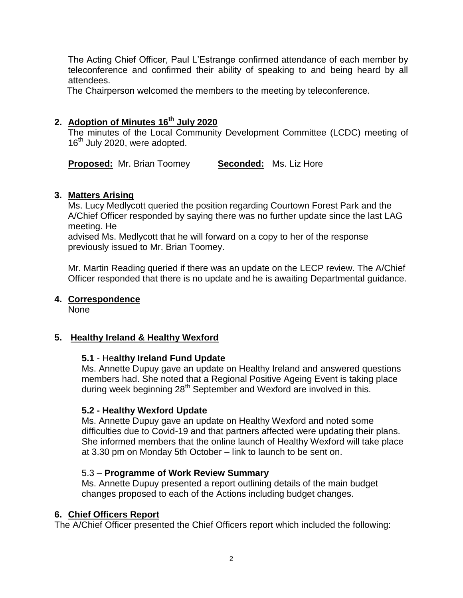The Acting Chief Officer, Paul L'Estrange confirmed attendance of each member by teleconference and confirmed their ability of speaking to and being heard by all attendees.

The Chairperson welcomed the members to the meeting by teleconference.

# **2. Adoption of Minutes 16th July 2020**

The minutes of the Local Community Development Committee (LCDC) meeting of 16<sup>th</sup> July 2020, were adopted.

**Proposed:** Mr. Brian Toomey **Seconded:** Ms. Liz Hore

# **3. Matters Arising**

Ms. Lucy Medlycott queried the position regarding Courtown Forest Park and the A/Chief Officer responded by saying there was no further update since the last LAG meeting. He

advised Ms. Medlycott that he will forward on a copy to her of the response previously issued to Mr. Brian Toomey.

Mr. Martin Reading queried if there was an update on the LECP review. The A/Chief Officer responded that there is no update and he is awaiting Departmental guidance.

# **4. Correspondence**

None

# **5. Healthy Ireland & Healthy Wexford**

# **5.1** - He**althy Ireland Fund Update**

Ms. Annette Dupuy gave an update on Healthy Ireland and answered questions members had. She noted that a Regional Positive Ageing Event is taking place during week beginning 28<sup>th</sup> September and Wexford are involved in this.

# **5.2 - Healthy Wexford Update**

Ms. Annette Dupuy gave an update on Healthy Wexford and noted some difficulties due to Covid-19 and that partners affected were updating their plans. She informed members that the online launch of Healthy Wexford will take place at 3.30 pm on Monday 5th October – link to launch to be sent on.

# 5.3 – **Programme of Work Review Summary**

Ms. Annette Dupuy presented a report outlining details of the main budget changes proposed to each of the Actions including budget changes.

# **6. Chief Officers Report**

The A/Chief Officer presented the Chief Officers report which included the following: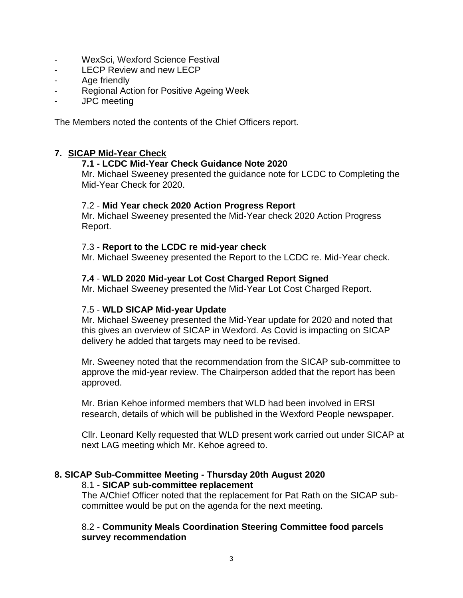- WexSci, Wexford Science Festival
- LECP Review and new LECP
- Age friendly
- Regional Action for Positive Ageing Week
- JPC meeting

The Members noted the contents of the Chief Officers report.

# **7. SICAP Mid-Year Check**

# **7.1 - LCDC Mid-Year Check Guidance Note 2020**

Mr. Michael Sweeney presented the guidance note for LCDC to Completing the Mid-Year Check for 2020.

# 7.2 - **Mid Year check 2020 Action Progress Report**

Mr. Michael Sweeney presented the Mid-Year check 2020 Action Progress Report.

# 7.3 - **Report to the LCDC re mid-year check**

Mr. Michael Sweeney presented the Report to the LCDC re. Mid-Year check.

# **7.4** - **WLD 2020 Mid-year Lot Cost Charged Report Signed**

Mr. Michael Sweeney presented the Mid-Year Lot Cost Charged Report.

# 7.5 - **WLD SICAP Mid-year Update**

Mr. Michael Sweeney presented the Mid-Year update for 2020 and noted that this gives an overview of SICAP in Wexford. As Covid is impacting on SICAP delivery he added that targets may need to be revised.

Mr. Sweeney noted that the recommendation from the SICAP sub-committee to approve the mid-year review. The Chairperson added that the report has been approved.

Mr. Brian Kehoe informed members that WLD had been involved in ERSI research, details of which will be published in the Wexford People newspaper.

Cllr. Leonard Kelly requested that WLD present work carried out under SICAP at next LAG meeting which Mr. Kehoe agreed to.

#### **8. SICAP Sub-Committee Meeting - Thursday 20th August 2020**  8.1 - **SICAP sub-committee replacement**

The A/Chief Officer noted that the replacement for Pat Rath on the SICAP subcommittee would be put on the agenda for the next meeting.

# 8.2 - **Community Meals Coordination Steering Committee food parcels survey recommendation**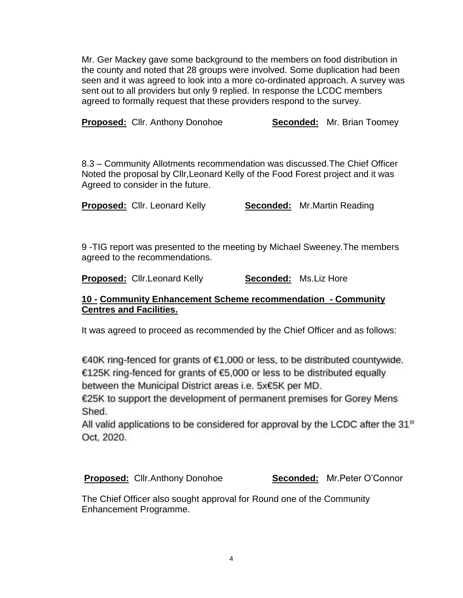Mr. Ger Mackey gave some background to the members on food distribution in the county and noted that 28 groups were involved. Some duplication had been seen and it was agreed to look into a more co-ordinated approach. A survey was sent out to all providers but only 9 replied. In response the LCDC members agreed to formally request that these providers respond to the survey.

**Proposed:** Cllr. Anthony Donohoe **Seconded:** Mr. Brian Toomey

8.3 – Community Allotments recommendation was discussed.The Chief Officer Noted the proposal by Cllr,Leonard Kelly of the Food Forest project and it was Agreed to consider in the future.

**Proposed:** Cllr. Leonard Kelly **Seconded:** Mr.Martin Reading

9 -TIG report was presented to the meeting by Michael Sweeney.The members agreed to the recommendations.

**Proposed:** Cllr.Leonard Kelly **Seconded:** Ms.Liz Hore

#### **10 - Community Enhancement Scheme recommendation - Community Centres and Facilities.**

It was agreed to proceed as recommended by the Chief Officer and as follows:

€40K ring-fenced for grants of €1,000 or less, to be distributed countywide. €125K ring-fenced for grants of €5,000 or less to be distributed equally between the Municipal District areas i.e. 5x€5K per MD.

€25K to support the development of permanent premises for Gorey Mens Shed.

All valid applications to be considered for approval by the LCDC after the 31<sup>st</sup> Oct. 2020.

**Proposed:** Cllr.Anthony Donohoe **Seconded:** Mr.Peter O'Connor

The Chief Officer also sought approval for Round one of the Community Enhancement Programme.